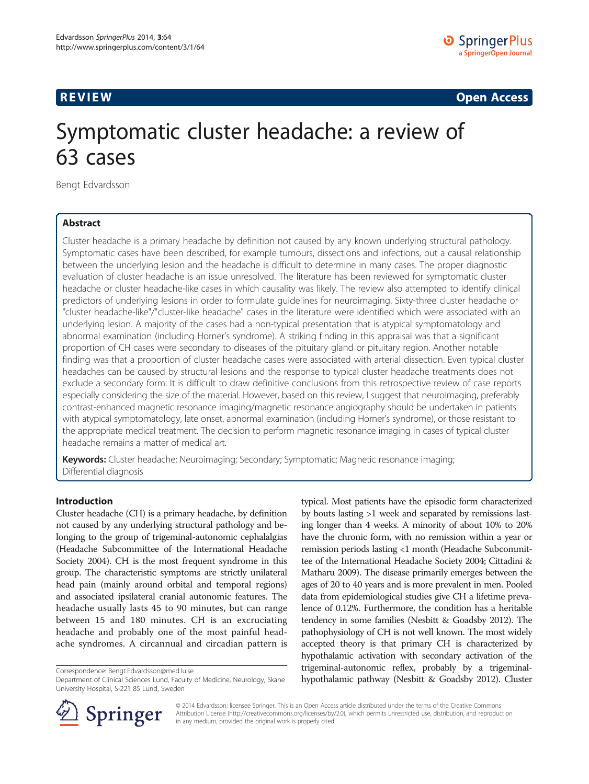**REVIEW CONSTRUCTION CONSTRUCTION CONSTRUCTS** 

# Symptomatic cluster headache: a review of 63 cases

Bengt Edvardsson

# Abstract

Cluster headache is a primary headache by definition not caused by any known underlying structural pathology. Symptomatic cases have been described, for example tumours, dissections and infections, but a causal relationship between the underlying lesion and the headache is difficult to determine in many cases. The proper diagnostic evaluation of cluster headache is an issue unresolved. The literature has been reviewed for symptomatic cluster headache or cluster headache-like cases in which causality was likely. The review also attempted to identify clinical predictors of underlying lesions in order to formulate guidelines for neuroimaging. Sixty-three cluster headache or "cluster headache-like"/"cluster-like headache" cases in the literature were identified which were associated with an underlying lesion. A majority of the cases had a non-typical presentation that is atypical symptomatology and abnormal examination (including Horner's syndrome). A striking finding in this appraisal was that a significant proportion of CH cases were secondary to diseases of the pituitary gland or pituitary region. Another notable finding was that a proportion of cluster headache cases were associated with arterial dissection. Even typical cluster headaches can be caused by structural lesions and the response to typical cluster headache treatments does not exclude a secondary form. It is difficult to draw definitive conclusions from this retrospective review of case reports especially considering the size of the material. However, based on this review, I suggest that neuroimaging, preferably contrast-enhanced magnetic resonance imaging/magnetic resonance angiography should be undertaken in patients with atypical symptomatology, late onset, abnormal examination (including Horner's syndrome), or those resistant to the appropriate medical treatment. The decision to perform magnetic resonance imaging in cases of typical cluster headache remains a matter of medical art.

Keywords: Cluster headache; Neuroimaging; Secondary; Symptomatic; Magnetic resonance imaging; Differential diagnosis

# Introduction

Cluster headache (CH) is a primary headache, by definition not caused by any underlying structural pathology and belonging to the group of trigeminal-autonomic cephalalgias (Headache Subcommittee of the International Headache Society [2004\)](#page-7-0). CH is the most frequent syndrome in this group. The characteristic symptoms are strictly unilateral head pain (mainly around orbital and temporal regions) and associated ipsilateral cranial autonomic features. The headache usually lasts 45 to 90 minutes, but can range between 15 and 180 minutes. CH is an excruciating headache and probably one of the most painful headache syndromes. A circannual and circadian pattern is

Correspondence: [Bengt.Edvardsson@med.lu.se](mailto:Bengt.Edvardsson@med.lu.se)

typical. Most patients have the episodic form characterized by bouts lasting >1 week and separated by remissions lasting longer than 4 weeks. A minority of about 10% to 20% have the chronic form, with no remission within a year or remission periods lasting <1 month (Headache Subcommittee of the International Headache Society [2004;](#page-7-0) Cittadini & Matharu [2009\)](#page-6-0). The disease primarily emerges between the ages of 20 to 40 years and is more prevalent in men. Pooled data from epidemiological studies give CH a lifetime prevalence of 0.12%. Furthermore, the condition has a heritable tendency in some families (Nesbitt & Goadsby [2012](#page-7-0)). The pathophysiology of CH is not well known. The most widely accepted theory is that primary CH is characterized by hypothalamic activation with secondary activation of the trigeminal-autonomic reflex, probably by a trigeminalhypothalamic pathway (Nesbitt & Goadsby [2012](#page-7-0)). Cluster



© 2014 Edvardsson; licensee Springer. This is an Open Access article distributed under the terms of the Creative Commons Attribution License [\(http://creativecommons.org/licenses/by/2.0\)](http://creativecommons.org/licenses/by/2.0), which permits unrestricted use, distribution, and reproduction in any medium, provided the original work is properly cited.

Department of Clinical Sciences Lund, Faculty of Medicine, Neurology, Skane University Hospital, S-221 85 Lund, Sweden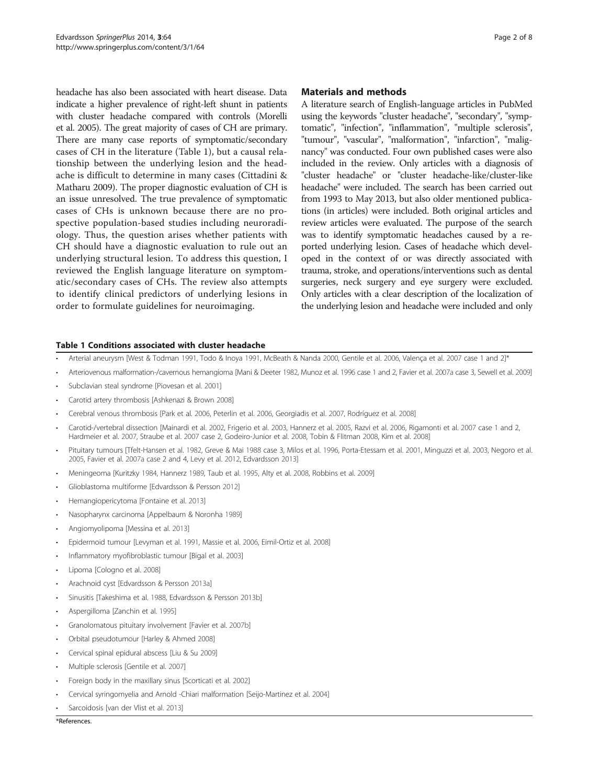<span id="page-1-0"></span>headache has also been associated with heart disease. Data indicate a higher prevalence of right-left shunt in patients with cluster headache compared with controls (Morelli et al. [2005](#page-7-0)). The great majority of cases of CH are primary. There are many case reports of symptomatic/secondary cases of CH in the literature (Table 1), but a causal relationship between the underlying lesion and the headache is difficult to determine in many cases (Cittadini & Matharu [2009\)](#page-6-0). The proper diagnostic evaluation of CH is an issue unresolved. The true prevalence of symptomatic cases of CHs is unknown because there are no prospective population-based studies including neuroradiology. Thus, the question arises whether patients with CH should have a diagnostic evaluation to rule out an underlying structural lesion. To address this question, I reviewed the English language literature on symptomatic/secondary cases of CHs. The review also attempts to identify clinical predictors of underlying lesions in order to formulate guidelines for neuroimaging.

# Materials and methods

A literature search of English-language articles in PubMed using the keywords "cluster headache", "secondary", "symptomatic", "infection", "inflammation", "multiple sclerosis", "tumour", "vascular", "malformation", "infarction", "malignancy" was conducted. Four own published cases were also included in the review. Only articles with a diagnosis of "cluster headache" or "cluster headache-like/cluster-like headache" were included. The search has been carried out from 1993 to May 2013, but also older mentioned publications (in articles) were included. Both original articles and review articles were evaluated. The purpose of the search was to identify symptomatic headaches caused by a reported underlying lesion. Cases of headache which developed in the context of or was directly associated with trauma, stroke, and operations/interventions such as dental surgeries, neck surgery and eye surgery were excluded. Only articles with a clear description of the localization of the underlying lesion and headache were included and only

# Table 1 Conditions associated with cluster headache

- Arterial aneurysm [West & Todman [1991,](#page-7-0) Todo & Inoya [1991](#page-7-0), McBeath & Nanda [2000](#page-7-0), Gentile et al. [2006,](#page-6-0) Valença et al. [2007](#page-7-0) case 1 and 2]\*
- Arteriovenous malformation-/cavernous hemangioma [Mani & Deeter [1982](#page-7-0), Munoz et al. [1996](#page-7-0) case 1 and 2, Favier et al. [2007a](#page-6-0) case 3, Sewell et al. [2009](#page-7-0)]
- Subclavian steal syndrome [Piovesan et al. [2001](#page-7-0)]
- Carotid artery thrombosis [Ashkenazi & Brown [2008](#page-6-0)]
- Cerebral venous thrombosis [Park et al. [2006](#page-7-0), Peterlin et al. [2006](#page-7-0), Georgiadis et al. [2007,](#page-6-0) Rodríguez et al. [2008\]](#page-7-0)
- Carotid-/vertebral dissection [Mainardi et al. [2002,](#page-7-0) Frigerio et al. [2003,](#page-6-0) Hannerz et al. [2005](#page-6-0), Razvi et al. [2006,](#page-7-0) Rigamonti et al. [2007](#page-7-0) case 1 and 2, Hardmeier et al. [2007](#page-6-0), Straube et al. [2007](#page-7-0) case 2, Godeiro-Junior et al. [2008,](#page-6-0) Tobin & Flitman [2008](#page-7-0), Kim et al. [2008](#page-7-0)]
- Pituitary tumours [Tfelt-Hansen et al. [1982,](#page-7-0) Greve & Mai [1988](#page-6-0) case 3, Milos et al. [1996](#page-7-0), Porta-Etessam et al. [2001,](#page-7-0) Minguzzi et al. [2003](#page-7-0), Negoro et al. [2005,](#page-7-0) Favier et al. [2007a](#page-6-0) case 2 and 4, Levy et al. [2012,](#page-7-0) Edvardsson [2013](#page-6-0)]
- Meningeoma [Kuritzky [1984,](#page-7-0) Hannerz [1989](#page-6-0), Taub et al. [1995](#page-7-0), Alty et al. [2008](#page-6-0), Robbins et al. [2009\]](#page-7-0)
- Glioblastoma multiforme [Edvardsson & Persson [2012\]](#page-6-0)
- Hemangiopericytoma [Fontaine et al. [2013](#page-6-0)]
- Nasopharynx carcinoma [Appelbaum & Noronha [1989\]](#page-6-0)
- Angiomyolipoma [Messina et al. [2013\]](#page-7-0)
- Epidermoid tumour [Levyman et al. [1991,](#page-7-0) Massie et al. [2006,](#page-7-0) Eimil-Ortiz et al. [2008](#page-6-0)]
- Inflammatory myofibroblastic tumour [Bigal et al. [2003](#page-6-0)]
- Lipoma [Cologno et al. [2008](#page-6-0)]
- Arachnoid cyst [Edvardsson & Persson [2013a](#page-6-0)]
- Sinusitis [Takeshima et al. [1988,](#page-7-0) Edvardsson & Persson [2013b](#page-6-0)]
- Aspergilloma [Zanchin et al. [1995\]](#page-7-0)
- Granolomatous pituitary involvement [Favier et al. [2007b\]](#page-6-0)
- Orbital pseudotumour [Harley & Ahmed [2008](#page-6-0)]
- Cervical spinal epidural abscess [Liu & Su [2009\]](#page-7-0)
- Multiple sclerosis [Gentile et al. [2007\]](#page-6-0)
- Foreign body in the maxillary sinus [Scorticati et al. [2002\]](#page-7-0)
- Cervical syringomyelia and Arnold -Chiari malformation [Seijo-Martinez et al. [2004](#page-7-0)]
- Sarcoidosis [van der Vlist et al. [2013](#page-7-0)]

\*References.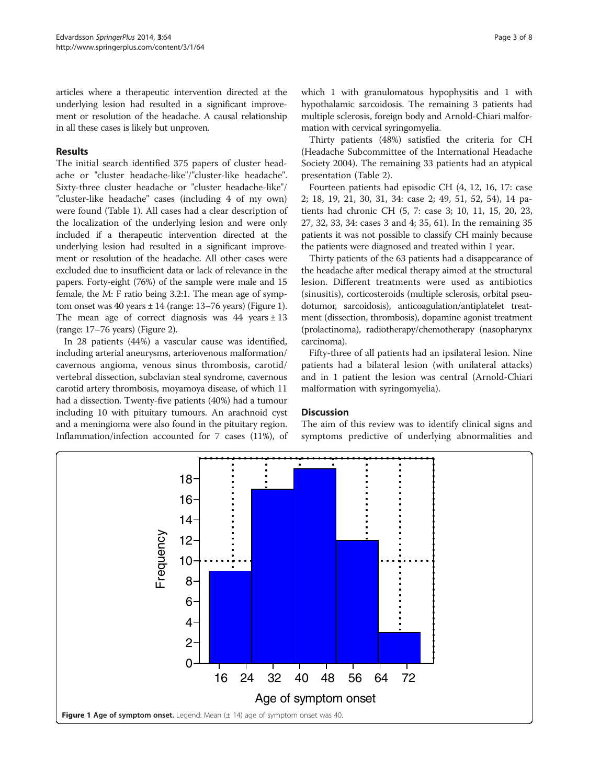articles where a therapeutic intervention directed at the underlying lesion had resulted in a significant improvement or resolution of the headache. A causal relationship in all these cases is likely but unproven.

# Results

The initial search identified 375 papers of cluster headache or "cluster headache-like"/"cluster-like headache". Sixty-three cluster headache or "cluster headache-like"/ "cluster-like headache" cases (including 4 of my own) were found (Table [1](#page-1-0)). All cases had a clear description of the localization of the underlying lesion and were only included if a therapeutic intervention directed at the underlying lesion had resulted in a significant improvement or resolution of the headache. All other cases were excluded due to insufficient data or lack of relevance in the papers. Forty-eight (76%) of the sample were male and 15 female, the M: F ratio being 3.2:1. The mean age of symptom onset was 40 years  $\pm$  14 (range: 13–76 years) (Figure 1). The mean age of correct diagnosis was  $44$  years  $\pm 13$ (range: 17–76 years) (Figure [2\)](#page-3-0).

In 28 patients (44%) a vascular cause was identified, including arterial aneurysms, arteriovenous malformation/ cavernous angioma, venous sinus thrombosis, carotid/ vertebral dissection, subclavian steal syndrome, cavernous carotid artery thrombosis, moyamoya disease, of which 11 had a dissection. Twenty-five patients (40%) had a tumour including 10 with pituitary tumours. An arachnoid cyst and a meningioma were also found in the pituitary region. Inflammation/infection accounted for 7 cases (11%), of which 1 with granulomatous hypophysitis and 1 with hypothalamic sarcoidosis. The remaining 3 patients had multiple sclerosis, foreign body and Arnold-Chiari malformation with cervical syringomyelia.

Thirty patients (48%) satisfied the criteria for CH (Headache Subcommittee of the International Headache Society [2004](#page-7-0)). The remaining 33 patients had an atypical presentation (Table [2\)](#page-4-0).

Fourteen patients had episodic CH (4, 12, 16, 17: case 2; 18, 19, 21, 30, 31, 34: case 2; 49, 51, 52, 54), 14 patients had chronic CH (5, 7: case 3; 10, 11, 15, 20, 23, 27, 32, 33, 34: cases 3 and 4; 35, 61). In the remaining 35 patients it was not possible to classify CH mainly because the patients were diagnosed and treated within 1 year.

Thirty patients of the 63 patients had a disappearance of the headache after medical therapy aimed at the structural lesion. Different treatments were used as antibiotics (sinusitis), corticosteroids (multiple sclerosis, orbital pseudotumor, sarcoidosis), anticoagulation/antiplatelet treatment (dissection, thrombosis), dopamine agonist treatment (prolactinoma), radiotherapy/chemotherapy (nasopharynx carcinoma).

Fifty-three of all patients had an ipsilateral lesion. Nine patients had a bilateral lesion (with unilateral attacks) and in 1 patient the lesion was central (Arnold-Chiari malformation with syringomyelia).

# **Discussion**

The aim of this review was to identify clinical signs and symptoms predictive of underlying abnormalities and

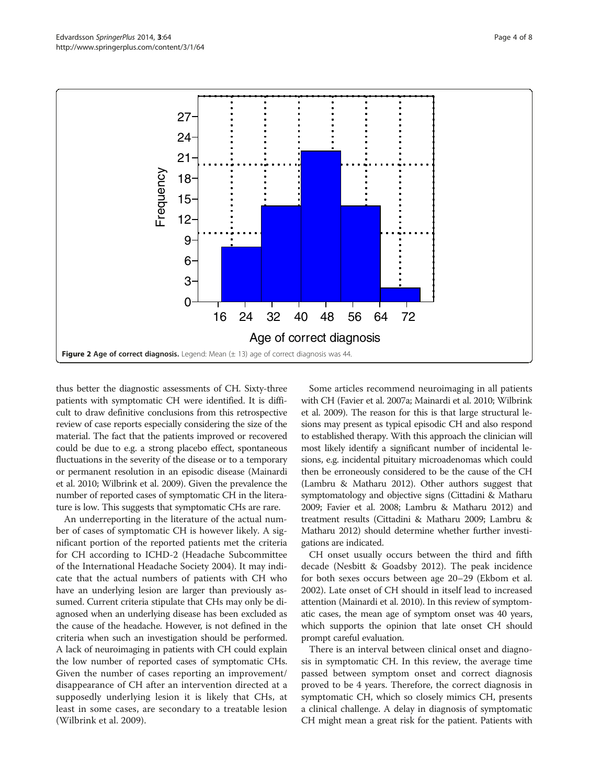<span id="page-3-0"></span>

thus better the diagnostic assessments of CH. Sixty-three patients with symptomatic CH were identified. It is difficult to draw definitive conclusions from this retrospective review of case reports especially considering the size of the material. The fact that the patients improved or recovered could be due to e.g. a strong placebo effect, spontaneous fluctuations in the severity of the disease or to a temporary or permanent resolution in an episodic disease (Mainardi et al. [2010;](#page-7-0) Wilbrink et al. [2009\)](#page-7-0). Given the prevalence the number of reported cases of symptomatic CH in the literature is low. This suggests that symptomatic CHs are rare.

An underreporting in the literature of the actual number of cases of symptomatic CH is however likely. A significant portion of the reported patients met the criteria for CH according to ICHD-2 (Headache Subcommittee of the International Headache Society [2004\)](#page-7-0). It may indicate that the actual numbers of patients with CH who have an underlying lesion are larger than previously assumed. Current criteria stipulate that CHs may only be diagnosed when an underlying disease has been excluded as the cause of the headache. However, is not defined in the criteria when such an investigation should be performed. A lack of neuroimaging in patients with CH could explain the low number of reported cases of symptomatic CHs. Given the number of cases reporting an improvement/ disappearance of CH after an intervention directed at a supposedly underlying lesion it is likely that CHs, at least in some cases, are secondary to a treatable lesion (Wilbrink et al. [2009](#page-7-0)).

Some articles recommend neuroimaging in all patients with CH (Favier et al. [2007a;](#page-6-0) Mainardi et al. [2010](#page-7-0); Wilbrink et al. [2009\)](#page-7-0). The reason for this is that large structural lesions may present as typical episodic CH and also respond to established therapy. With this approach the clinician will most likely identify a significant number of incidental lesions, e.g. incidental pituitary microadenomas which could then be erroneously considered to be the cause of the CH (Lambru & Matharu [2012](#page-7-0)). Other authors suggest that symptomatology and objective signs (Cittadini & Matharu [2009;](#page-6-0) Favier et al. [2008](#page-6-0); Lambru & Matharu [2012](#page-7-0)) and treatment results (Cittadini & Matharu [2009;](#page-6-0) Lambru & Matharu [2012\)](#page-7-0) should determine whether further investigations are indicated.

CH onset usually occurs between the third and fifth decade (Nesbitt & Goadsby [2012\)](#page-7-0). The peak incidence for both sexes occurs between age 20–29 (Ekbom et al. [2002](#page-6-0)). Late onset of CH should in itself lead to increased attention (Mainardi et al. [2010](#page-7-0)). In this review of symptomatic cases, the mean age of symptom onset was 40 years, which supports the opinion that late onset CH should prompt careful evaluation.

There is an interval between clinical onset and diagnosis in symptomatic CH. In this review, the average time passed between symptom onset and correct diagnosis proved to be 4 years. Therefore, the correct diagnosis in symptomatic CH, which so closely mimics CH, presents a clinical challenge. A delay in diagnosis of symptomatic CH might mean a great risk for the patient. Patients with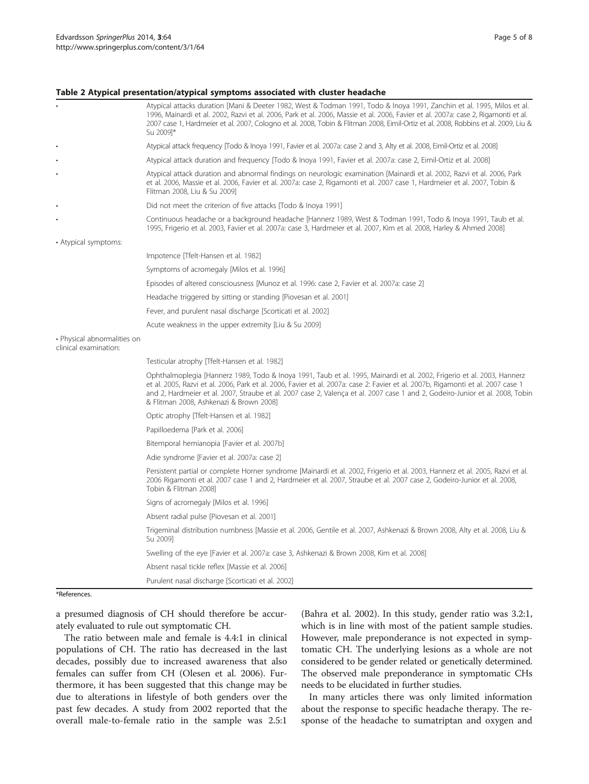#### <span id="page-4-0"></span>Table 2 Atypical presentation/atypical symptoms associated with cluster headache

|                                                      | Atypical attacks duration [Mani & Deeter 1982, West & Todman 1991, Todo & Inoya 1991, Zanchin et al. 1995, Milos et al.<br>1996, Mainardi et al. 2002, Razvi et al. 2006, Park et al. 2006, Massie et al. 2006, Favier et al. 2007a: case 2, Rigamonti et al.<br>2007 case 1, Hardmeier et al. 2007, Cologno et al. 2008, Tobin & Flitman 2008, Eimil-Ortiz et al. 2008, Robbins et al. 2009, Liu &<br>Su 2009 <sup>*</sup>             |
|------------------------------------------------------|-----------------------------------------------------------------------------------------------------------------------------------------------------------------------------------------------------------------------------------------------------------------------------------------------------------------------------------------------------------------------------------------------------------------------------------------|
|                                                      | Atypical attack frequency [Todo & Inoya 1991, Favier et al. 2007a: case 2 and 3, Alty et al. 2008, Eimil-Ortiz et al. 2008]                                                                                                                                                                                                                                                                                                             |
|                                                      | Atypical attack duration and frequency [Todo & Inoya 1991, Favier et al. 2007a: case 2, Eimil-Ortiz et al. 2008]                                                                                                                                                                                                                                                                                                                        |
|                                                      | Atypical attack duration and abnormal findings on neurologic examination [Mainardi et al. 2002, Razvi et al. 2006, Park<br>et al. 2006, Massie et al. 2006, Favier et al. 2007a: case 2, Rigamonti et al. 2007 case 1, Hardmeier et al. 2007, Tobin &<br>Flitman 2008, Liu & Su 2009]                                                                                                                                                   |
|                                                      | Did not meet the criterion of five attacks [Todo & Inoya 1991]                                                                                                                                                                                                                                                                                                                                                                          |
|                                                      | Continuous headache or a background headache [Hannerz 1989, West & Todman 1991, Todo & Inoya 1991, Taub et al.<br>1995, Frigerio et al. 2003, Favier et al. 2007a: case 3, Hardmeier et al. 2007, Kim et al. 2008, Harley & Ahmed 2008]                                                                                                                                                                                                 |
| • Atypical symptoms:                                 |                                                                                                                                                                                                                                                                                                                                                                                                                                         |
|                                                      | Impotence [Tfelt-Hansen et al. 1982]                                                                                                                                                                                                                                                                                                                                                                                                    |
|                                                      | Symptoms of acromegaly [Milos et al. 1996]                                                                                                                                                                                                                                                                                                                                                                                              |
|                                                      | Episodes of altered consciousness [Munoz et al. 1996: case 2, Favier et al. 2007a: case 2]                                                                                                                                                                                                                                                                                                                                              |
|                                                      | Headache triggered by sitting or standing [Piovesan et al. 2001]                                                                                                                                                                                                                                                                                                                                                                        |
|                                                      | Fever, and purulent nasal discharge [Scorticati et al. 2002]                                                                                                                                                                                                                                                                                                                                                                            |
|                                                      | Acute weakness in the upper extremity [Liu & Su 2009]                                                                                                                                                                                                                                                                                                                                                                                   |
| • Physical abnormalities on<br>clinical examination: |                                                                                                                                                                                                                                                                                                                                                                                                                                         |
|                                                      | Testicular atrophy [Tfelt-Hansen et al. 1982]                                                                                                                                                                                                                                                                                                                                                                                           |
|                                                      | Ophthalmoplegia [Hannerz 1989, Todo & Inoya 1991, Taub et al. 1995, Mainardi et al. 2002, Frigerio et al. 2003, Hannerz<br>et al. 2005, Razvi et al. 2006, Park et al. 2006, Favier et al. 2007a: case 2: Favier et al. 2007b, Rigamonti et al. 2007 case 1<br>and 2, Hardmeier et al. 2007, Straube et al. 2007 case 2, Valença et al. 2007 case 1 and 2, Godeiro-Junior et al. 2008, Tobin<br>& Flitman 2008, Ashkenazi & Brown 2008] |
|                                                      | Optic atrophy [Tfelt-Hansen et al. 1982]                                                                                                                                                                                                                                                                                                                                                                                                |
|                                                      | Papilloedema [Park et al. 2006]                                                                                                                                                                                                                                                                                                                                                                                                         |
|                                                      | Bitemporal hemianopia [Favier et al. 2007b]                                                                                                                                                                                                                                                                                                                                                                                             |
|                                                      | Adie syndrome [Favier et al. 2007a: case 2]                                                                                                                                                                                                                                                                                                                                                                                             |
|                                                      | Persistent partial or complete Horner syndrome [Mainardi et al. 2002, Frigerio et al. 2003, Hannerz et al. 2005, Razvi et al.<br>2006 Rigamonti et al. 2007 case 1 and 2, Hardmeier et al. 2007, Straube et al. 2007 case 2, Godeiro-Junior et al. 2008,<br>Tobin & Flitman 2008]                                                                                                                                                       |
|                                                      | Signs of acromegaly [Milos et al. 1996]                                                                                                                                                                                                                                                                                                                                                                                                 |
|                                                      | Absent radial pulse [Piovesan et al. 2001]                                                                                                                                                                                                                                                                                                                                                                                              |
|                                                      | Trigeminal distribution numbness [Massie et al. 2006, Gentile et al. 2007, Ashkenazi & Brown 2008, Alty et al. 2008, Liu &<br>Su 2009]                                                                                                                                                                                                                                                                                                  |
|                                                      | Swelling of the eye [Favier et al. 2007a: case 3, Ashkenazi & Brown 2008, Kim et al. 2008]                                                                                                                                                                                                                                                                                                                                              |
|                                                      | Absent nasal tickle reflex [Massie et al. 2006]                                                                                                                                                                                                                                                                                                                                                                                         |
|                                                      | Purulent nasal discharge [Scorticati et al. 2002]                                                                                                                                                                                                                                                                                                                                                                                       |

\*References.

a presumed diagnosis of CH should therefore be accurately evaluated to rule out symptomatic CH.

The ratio between male and female is 4.4:1 in clinical populations of CH. The ratio has decreased in the last decades, possibly due to increased awareness that also females can suffer from CH (Olesen et al. [2006](#page-7-0)). Furthermore, it has been suggested that this change may be due to alterations in lifestyle of both genders over the past few decades. A study from 2002 reported that the overall male-to-female ratio in the sample was 2.5:1

(Bahra et al. [2002](#page-6-0)). In this study, gender ratio was 3.2:1, which is in line with most of the patient sample studies. However, male preponderance is not expected in symptomatic CH. The underlying lesions as a whole are not considered to be gender related or genetically determined. The observed male preponderance in symptomatic CHs needs to be elucidated in further studies.

In many articles there was only limited information about the response to specific headache therapy. The response of the headache to sumatriptan and oxygen and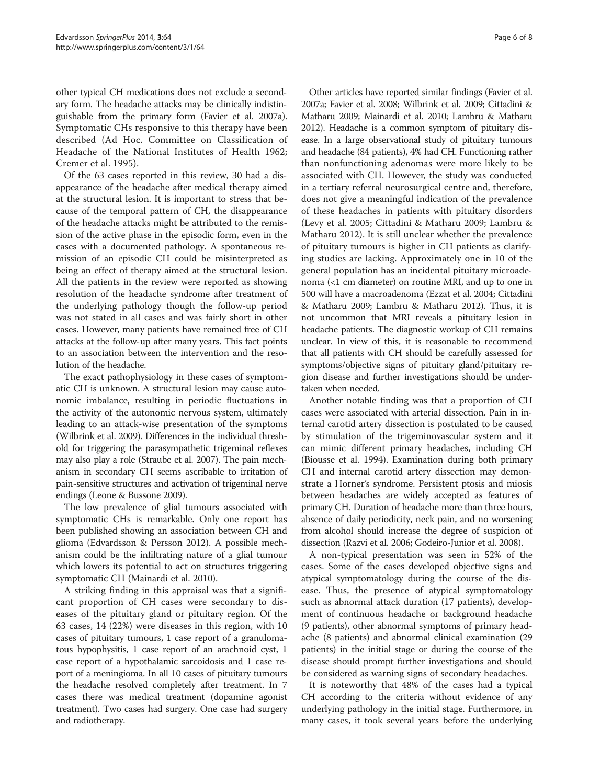other typical CH medications does not exclude a secondary form. The headache attacks may be clinically indistinguishable from the primary form (Favier et al. [2007a](#page-6-0)). Symptomatic CHs responsive to this therapy have been described (Ad Hoc. Committee on Classification of Headache of the National Institutes of Health [1962](#page-6-0); Cremer et al. [1995\)](#page-6-0).

Of the 63 cases reported in this review, 30 had a disappearance of the headache after medical therapy aimed at the structural lesion. It is important to stress that because of the temporal pattern of CH, the disappearance of the headache attacks might be attributed to the remission of the active phase in the episodic form, even in the cases with a documented pathology. A spontaneous remission of an episodic CH could be misinterpreted as being an effect of therapy aimed at the structural lesion. All the patients in the review were reported as showing resolution of the headache syndrome after treatment of the underlying pathology though the follow-up period was not stated in all cases and was fairly short in other cases. However, many patients have remained free of CH attacks at the follow-up after many years. This fact points to an association between the intervention and the resolution of the headache.

The exact pathophysiology in these cases of symptomatic CH is unknown. A structural lesion may cause autonomic imbalance, resulting in periodic fluctuations in the activity of the autonomic nervous system, ultimately leading to an attack-wise presentation of the symptoms (Wilbrink et al. [2009](#page-7-0)). Differences in the individual threshold for triggering the parasympathetic trigeminal reflexes may also play a role (Straube et al. [2007\)](#page-7-0). The pain mechanism in secondary CH seems ascribable to irritation of pain-sensitive structures and activation of trigeminal nerve endings (Leone & Bussone [2009](#page-7-0)).

The low prevalence of glial tumours associated with symptomatic CHs is remarkable. Only one report has been published showing an association between CH and glioma (Edvardsson & Persson [2012](#page-6-0)). A possible mechanism could be the infiltrating nature of a glial tumour which lowers its potential to act on structures triggering symptomatic CH (Mainardi et al. [2010\)](#page-7-0).

A striking finding in this appraisal was that a significant proportion of CH cases were secondary to diseases of the pituitary gland or pituitary region. Of the 63 cases, 14 (22%) were diseases in this region, with 10 cases of pituitary tumours, 1 case report of a granulomatous hypophysitis, 1 case report of an arachnoid cyst, 1 case report of a hypothalamic sarcoidosis and 1 case report of a meningioma. In all 10 cases of pituitary tumours the headache resolved completely after treatment. In 7 cases there was medical treatment (dopamine agonist treatment). Two cases had surgery. One case had surgery and radiotherapy.

Other articles have reported similar findings (Favier et al. [2007a](#page-6-0); Favier et al. [2008](#page-6-0); Wilbrink et al. [2009](#page-7-0); Cittadini & Matharu [2009](#page-6-0); Mainardi et al. [2010](#page-7-0); Lambru & Matharu [2012\)](#page-7-0). Headache is a common symptom of pituitary disease. In a large observational study of pituitary tumours and headache (84 patients), 4% had CH. Functioning rather than nonfunctioning adenomas were more likely to be associated with CH. However, the study was conducted in a tertiary referral neurosurgical centre and, therefore, does not give a meaningful indication of the prevalence of these headaches in patients with pituitary disorders (Levy et al. [2005](#page-7-0); Cittadini & Matharu [2009;](#page-6-0) Lambru & Matharu [2012\)](#page-7-0). It is still unclear whether the prevalence of pituitary tumours is higher in CH patients as clarifying studies are lacking. Approximately one in 10 of the general population has an incidental pituitary microadenoma (<1 cm diameter) on routine MRI, and up to one in 500 will have a macroadenoma (Ezzat et al. [2004;](#page-6-0) Cittadini & Matharu [2009](#page-6-0); Lambru & Matharu [2012](#page-7-0)). Thus, it is not uncommon that MRI reveals a pituitary lesion in headache patients. The diagnostic workup of CH remains unclear. In view of this, it is reasonable to recommend that all patients with CH should be carefully assessed for symptoms/objective signs of pituitary gland/pituitary region disease and further investigations should be undertaken when needed.

Another notable finding was that a proportion of CH cases were associated with arterial dissection. Pain in internal carotid artery dissection is postulated to be caused by stimulation of the trigeminovascular system and it can mimic different primary headaches, including CH (Biousse et al. [1994](#page-6-0)). Examination during both primary CH and internal carotid artery dissection may demonstrate a Horner's syndrome. Persistent ptosis and miosis between headaches are widely accepted as features of primary CH. Duration of headache more than three hours, absence of daily periodicity, neck pain, and no worsening from alcohol should increase the degree of suspicion of dissection (Razvi et al. [2006;](#page-7-0) Godeiro-Junior et al. [2008](#page-6-0)).

A non-typical presentation was seen in 52% of the cases. Some of the cases developed objective signs and atypical symptomatology during the course of the disease. Thus, the presence of atypical symptomatology such as abnormal attack duration (17 patients), development of continuous headache or background headache (9 patients), other abnormal symptoms of primary headache (8 patients) and abnormal clinical examination (29 patients) in the initial stage or during the course of the disease should prompt further investigations and should be considered as warning signs of secondary headaches.

It is noteworthy that 48% of the cases had a typical CH according to the criteria without evidence of any underlying pathology in the initial stage. Furthermore, in many cases, it took several years before the underlying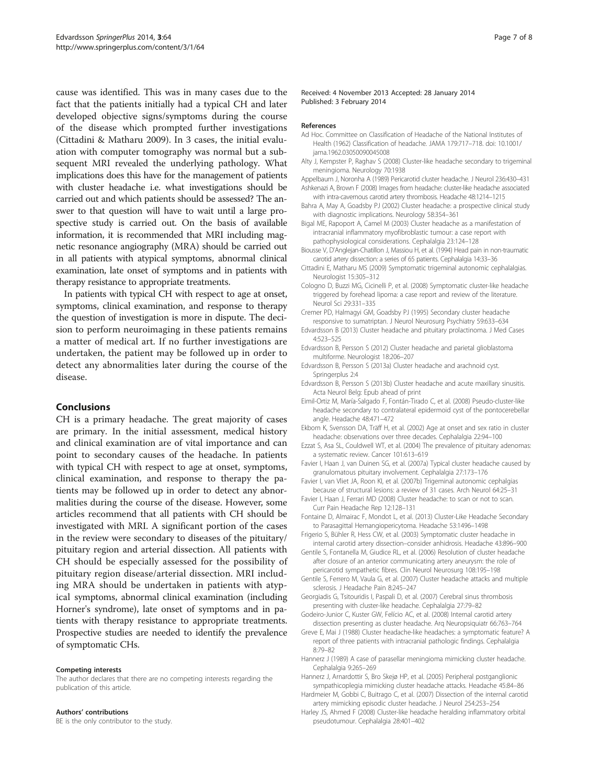<span id="page-6-0"></span>cause was identified. This was in many cases due to the fact that the patients initially had a typical CH and later developed objective signs/symptoms during the course of the disease which prompted further investigations (Cittadini & Matharu 2009). In 3 cases, the initial evaluation with computer tomography was normal but a subsequent MRI revealed the underlying pathology. What implications does this have for the management of patients with cluster headache i.e. what investigations should be carried out and which patients should be assessed? The answer to that question will have to wait until a large prospective study is carried out. On the basis of available information, it is recommended that MRI including magnetic resonance angiography (MRA) should be carried out in all patients with atypical symptoms, abnormal clinical examination, late onset of symptoms and in patients with therapy resistance to appropriate treatments.

In patients with typical CH with respect to age at onset, symptoms, clinical examination, and response to therapy the question of investigation is more in dispute. The decision to perform neuroimaging in these patients remains a matter of medical art. If no further investigations are undertaken, the patient may be followed up in order to detect any abnormalities later during the course of the disease.

# Conclusions

CH is a primary headache. The great majority of cases are primary. In the initial assessment, medical history and clinical examination are of vital importance and can point to secondary causes of the headache. In patients with typical CH with respect to age at onset, symptoms, clinical examination, and response to therapy the patients may be followed up in order to detect any abnormalities during the course of the disease. However, some articles recommend that all patients with CH should be investigated with MRI. A significant portion of the cases in the review were secondary to diseases of the pituitary/ pituitary region and arterial dissection. All patients with CH should be especially assessed for the possibility of pituitary region disease/arterial dissection. MRI including MRA should be undertaken in patients with atypical symptoms, abnormal clinical examination (including Horner's syndrome), late onset of symptoms and in patients with therapy resistance to appropriate treatments. Prospective studies are needed to identify the prevalence of symptomatic CHs.

#### Competing interests

The author declares that there are no competing interests regarding the publication of this article.

#### Authors' contributions

BE is the only contributor to the study.

#### Received: 4 November 2013 Accepted: 28 January 2014 Published: 3 February 2014

#### References

- Ad Hoc. Committee on Classification of Headache of the National Institutes of Health (1962) Classification of headache. JAMA 179:717–718. doi: 10.1001/ jama.1962.03050090045008
- Alty J, Kempster P, Raghav S (2008) Cluster-like headache secondary to trigeminal meningioma. Neurology 70:1938
- Appelbaum J, Noronha A (1989) Pericarotid cluster headache. J Neurol 236:430–431 Ashkenazi A, Brown F (2008) Images from headache: cluster-like headache associated with intra-cavernous carotid artery thrombosis. Headache 48:1214–1215
- Bahra A, May A, Goadsby PJ (2002) Cluster headache: a prospective clinical study with diagnostic implications. Neurology 58:354–361
- Bigal ME, Rapoport A, Camel M (2003) Cluster headache as a manifestation of intracranial inflammatory myofibroblastic tumour: a case report with pathophysiological considerations. Cephalalgia 23:124–128
- Biousse V, D'Anglejan-Chatillon J, Massiou H, et al. (1994) Head pain in non-traumatic carotid artery dissection: a series of 65 patients. Cephalalgia 14:33–36
- Cittadini E, Matharu MS (2009) Symptomatic trigeminal autonomic cephalalgias. Neurologist 15:305–312
- Cologno D, Buzzi MG, Cicinelli P, et al. (2008) Symptomatic cluster-like headache triggered by forehead lipoma: a case report and review of the literature. Neurol Sci 29:331–335
- Cremer PD, Halmagyi GM, Goadsby PJ (1995) Secondary cluster headache responsive to sumatriptan. J Neurol Neurosurg Psychiatry 59:633–634
- Edvardsson B (2013) Cluster headache and pituitary prolactinoma. J Med Cases 4:523–525
- Edvardsson B, Persson S (2012) Cluster headache and parietal glioblastoma multiforme. Neurologist 18:206–207
- Edvardsson B, Persson S (2013a) Cluster headache and arachnoid cyst. Springerplus 2:4
- Edvardsson B, Persson S (2013b) Cluster headache and acute maxillary sinusitis. Acta Neurol Belg: Epub ahead of print
- Eimil-Ortiz M, María-Salgado F, Fontán-Tirado C, et al. (2008) Pseudo-cluster-like headache secondary to contralateral epidermoid cyst of the pontocerebellar angle. Headache 48:471–472
- Ekbom K, Svensson DA, Träff H, et al. (2002) Age at onset and sex ratio in cluster headache: observations over three decades. Cephalalgia 22:94–100
- Ezzat S, Asa SL, Couldwell WT, et al. (2004) The prevalence of pituitary adenomas: a systematic review. Cancer 101:613–619
- Favier I, Haan J, van Duinen SG, et al. (2007a) Typical cluster headache caused by granulomatous pituitary involvement. Cephalalgia 27:173–176
- Favier I, van Vliet JA, Roon KI, et al. (2007b) Trigeminal autonomic cephalgias because of structural lesions: a review of 31 cases. Arch Neurol 64:25–31
- Favier I, Haan J, Ferrari MD (2008) Cluster headache: to scan or not to scan. Curr Pain Headache Rep 12:128–131
- Fontaine D, Almairac F, Mondot L, et al. (2013) Cluster-Like Headache Secondary to Parasagittal Hemangiopericytoma. Headache 53:1496–1498
- Frigerio S, Bühler R, Hess CW, et al. (2003) Symptomatic cluster headache in internal carotid artery dissection–consider anhidrosis. Headache 43:896–900
- Gentile S, Fontanella M, Giudice RL, et al. (2006) Resolution of cluster headache after closure of an anterior communicating artery aneurysm: the role of pericarotid sympathetic fibres. Clin Neurol Neurosurg 108:195-198
- Gentile S, Ferrero M, Vaula G, et al. (2007) Cluster headache attacks and multiple sclerosis. J Headache Pain 8:245–247
- Georgiadis G, Tsitouridis I, Paspali D, et al. (2007) Cerebral sinus thrombosis presenting with cluster-like headache. Cephalalgia 27:79–82
- Godeiro-Junior C, Kuster GW, Felício AC, et al. (2008) Internal carotid artery dissection presenting as cluster headache. Arq Neuropsiquiatr 66:763–764
- Greve E, Mai J (1988) Cluster headache-like headaches: a symptomatic feature? A report of three patients with intracranial pathologic findings. Cephalalgia 8:79–82
- Hannerz J (1989) A case of parasellar meningioma mimicking cluster headache. Cephalalgia 9:265–269
- Hannerz J, Arnardottir S, Bro Skejø HP, et al. (2005) Peripheral postganglionic sympathicoplegia mimicking cluster headache attacks. Headache 45:84–86
- Hardmeier M, Gobbi C, Buitrago C, et al. (2007) Dissection of the internal carotid artery mimicking episodic cluster headache. J Neurol 254:253–254
- Harley JS, Ahmed F (2008) Cluster-like headache heralding inflammatory orbital pseudotumour. Cephalalgia 28:401–402